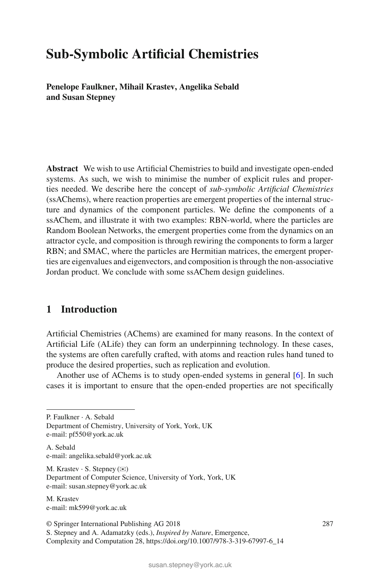# **Sub-Symbolic Artificial Chemistries**

**Penelope Faulkner, Mihail Krastev, Angelika Sebald and Susan Stepney**

**Abstract** We wish to use Artificial Chemistries to build and investigate open-ended systems. As such, we wish to minimise the number of explicit rules and properties needed. We describe here the concept of *sub-symbolic Artificial Chemistries* (ssAChems), where reaction properties are emergent properties of the internal structure and dynamics of the component particles. We define the components of a ssAChem, and illustrate it with two examples: RBN-world, where the particles are Random Boolean Networks, the emergent properties come from the dynamics on an attractor cycle, and composition is through rewiring the components to form a larger RBN; and SMAC, where the particles are Hermitian matrices, the emergent properties are eigenvalues and eigenvectors, and composition is through the non-associative Jordan product. We conclude with some ssAChem design guidelines.

# **1 Introduction**

Artificial Chemistries (AChems) are examined for many reasons. In the context of Artificial Life (ALife) they can form an underpinning technology. In these cases, the systems are often carefully crafted, with atoms and reaction rules hand tuned to produce the desired properties, such as replication and evolution.

Another use of AChems is to study open-ended systems in general [\[6\]](#page-35-0). In such cases it is important to ensure that the open-ended properties are not specifically

P. Faulkner ⋅ A. Sebald

Department of Chemistry, University of York, York, UK e-mail: pf550@york.ac.uk

A. Sebald e-mail: angelika.sebald@york.ac.uk

M. Krastev  $\cdot$  S. Stepney ( $\boxtimes$ ) Department of Computer Science, University of York, York, UK e-mail: susan.stepney@york.ac.uk

M. Krastev e-mail: mk599@york.ac.uk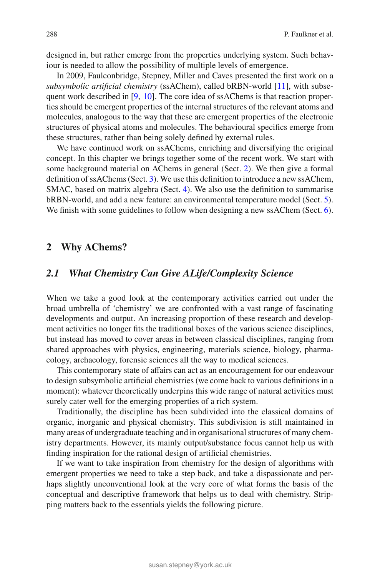designed in, but rather emerge from the properties underlying system. Such behaviour is needed to allow the possibility of multiple levels of emergence.

In 2009, Faulconbridge, Stepney, Miller and Caves presented the first work on a *subsymbolic artificial chemistry* (ssAChem), called bRBN-world [\[11](#page-35-3)], with subsequent work described in [\[9,](#page-35-2) [10](#page-35-1)]. The core idea of ssAChems is that reaction properties should be emergent properties of the internal structures of the relevant atoms and molecules, analogous to the way that these are emergent properties of the electronic structures of physical atoms and molecules. The behavioural specifics emerge from these structures, rather than being solely defined by external rules.

We have continued work on ssAChems, enriching and diversifying the original concept. In this chapter we brings together some of the recent work. We start with some background material on AChems in general (Sect. [2\)](#page-1-0). We then give a formal definition of ssAChems (Sect. [3\)](#page-6-0). We use this definition to introduce a new ssAChem, SMAC, based on matrix algebra (Sect. [4\)](#page-12-0). We also use the definition to summarise bRBN-world, and add a new feature: an environmental temperature model (Sect. [5\)](#page-24-0). We finish with some guidelines to follow when designing a new ssAChem (Sect. [6\)](#page-34-0).

# <span id="page-1-0"></span>**2 Why AChems?**

# *2.1 What Chemistry Can Give ALife/Complexity Science*

When we take a good look at the contemporary activities carried out under the broad umbrella of 'chemistry' we are confronted with a vast range of fascinating developments and output. An increasing proportion of these research and development activities no longer fits the traditional boxes of the various science disciplines, but instead has moved to cover areas in between classical disciplines, ranging from shared approaches with physics, engineering, materials science, biology, pharmacology, archaeology, forensic sciences all the way to medical sciences.

This contemporary state of affairs can act as an encouragement for our endeavour to design subsymbolic artificial chemistries (we come back to various definitions in a moment): whatever theoretically underpins this wide range of natural activities must surely cater well for the emerging properties of a rich system.

Traditionally, the discipline has been subdivided into the classical domains of organic, inorganic and physical chemistry. This subdivision is still maintained in many areas of undergraduate teaching and in organisational structures of many chemistry departments. However, its mainly output/substance focus cannot help us with finding inspiration for the rational design of artificial chemistries.

If we want to take inspiration from chemistry for the design of algorithms with emergent properties we need to take a step back, and take a dispassionate and perhaps slightly unconventional look at the very core of what forms the basis of the conceptual and descriptive framework that helps us to deal with chemistry. Stripping matters back to the essentials yields the following picture.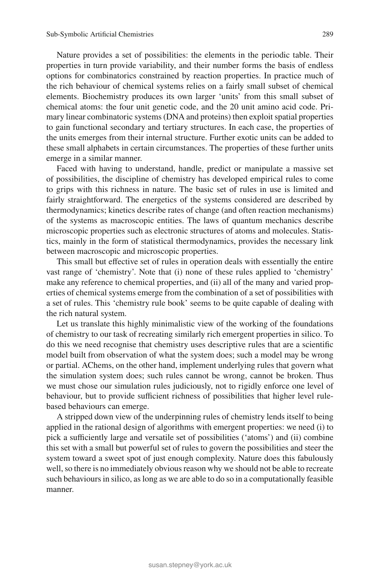Nature provides a set of possibilities: the elements in the periodic table. Their properties in turn provide variability, and their number forms the basis of endless options for combinatorics constrained by reaction properties. In practice much of the rich behaviour of chemical systems relies on a fairly small subset of chemical elements. Biochemistry produces its own larger 'units' from this small subset of chemical atoms: the four unit genetic code, and the 20 unit amino acid code. Primary linear combinatoric systems (DNA and proteins) then exploit spatial properties to gain functional secondary and tertiary structures. In each case, the properties of the units emerges from their internal structure. Further exotic units can be added to these small alphabets in certain circumstances. The properties of these further units emerge in a similar manner.

Faced with having to understand, handle, predict or manipulate a massive set of possibilities, the discipline of chemistry has developed empirical rules to come to grips with this richness in nature. The basic set of rules in use is limited and fairly straightforward. The energetics of the systems considered are described by thermodynamics; kinetics describe rates of change (and often reaction mechanisms) of the systems as macroscopic entities. The laws of quantum mechanics describe microscopic properties such as electronic structures of atoms and molecules. Statistics, mainly in the form of statistical thermodynamics, provides the necessary link between macroscopic and microscopic properties.

This small but effective set of rules in operation deals with essentially the entire vast range of 'chemistry'. Note that (i) none of these rules applied to 'chemistry' make any reference to chemical properties, and (ii) all of the many and varied properties of chemical systems emerge from the combination of a set of possibilities with a set of rules. This 'chemistry rule book' seems to be quite capable of dealing with the rich natural system.

Let us translate this highly minimalistic view of the working of the foundations of chemistry to our task of recreating similarly rich emergent properties in silico. To do this we need recognise that chemistry uses descriptive rules that are a scientific model built from observation of what the system does; such a model may be wrong or partial. AChems, on the other hand, implement underlying rules that govern what the simulation system does; such rules cannot be wrong, cannot be broken. Thus we must chose our simulation rules judiciously, not to rigidly enforce one level of behaviour, but to provide sufficient richness of possibilities that higher level rulebased behaviours can emerge.

A stripped down view of the underpinning rules of chemistry lends itself to being applied in the rational design of algorithms with emergent properties: we need (i) to pick a sufficiently large and versatile set of possibilities ('atoms') and (ii) combine this set with a small but powerful set of rules to govern the possibilities and steer the system toward a sweet spot of just enough complexity. Nature does this fabulously well, so there is no immediately obvious reason why we should not be able to recreate such behaviours in silico, as long as we are able to do so in a computationally feasible manner.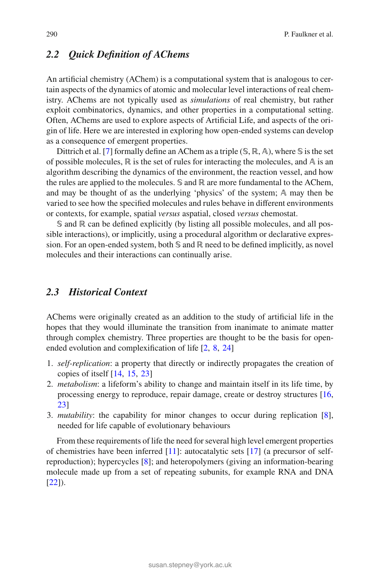# *2.2 Quick Definition of AChems*

An artificial chemistry (AChem) is a computational system that is analogous to certain aspects of the dynamics of atomic and molecular level interactions of real chemistry. AChems are not typically used as *simulations* of real chemistry, but rather exploit combinatorics, dynamics, and other properties in a computational setting. Often, AChems are used to explore aspects of Artificial Life, and aspects of the origin of life. Here we are interested in exploring how open-ended systems can develop as a consequence of emergent properties.

Dittrich et al. [\[7](#page-35-13)] formally define an AChem as a triple (*S*, ℝ, A), where *S* is the set of possible molecules,  $\mathbb R$  is the set of rules for interacting the molecules, and  $\mathbb A$  is an algorithm describing the dynamics of the environment, the reaction vessel, and how the rules are applied to the molecules.  $\mathcal{S}$  and  $\mathbb{R}$  are more fundamental to the AChem, and may be thought of as the underlying 'physics' of the system;  $A$  may then be varied to see how the specified molecules and rules behave in different environments or contexts, for example, spatial *versus* aspatial, closed *versus* chemostat.

S and ℝ can be defined explicitly (by listing all possible molecules, and all possible interactions), or implicitly, using a procedural algorithm or declarative expression. For an open-ended system, both  $\mathcal S$  and  $\mathbb R$  need to be defined implicitly, as novel molecules and their interactions can continually arise.

# *2.3 Historical Context*

AChems were originally created as an addition to the study of artificial life in the hopes that they would illuminate the transition from inanimate to animate matter through complex chemistry. Three properties are thought to be the basis for openended evolution and complexification of life [\[2](#page-35-12), [8](#page-35-5), [24](#page-35-11)]

- 1. *self-replication*: a property that directly or indirectly propagates the creation of copies of itself [\[14,](#page-35-10) [15,](#page-35-9) [23\]](#page-35-7)
- 2. *metabolism*: a lifeform's ability to change and maintain itself in its life time, by processing energy to reproduce, repair damage, create or destroy structures [\[16,](#page-35-8) [23](#page-35-7)]
- 3. *mutability*: the capability for minor changes to occur during replication [\[8](#page-35-5)], needed for life capable of evolutionary behaviours

From these requirements of life the need for several high level emergent properties of chemistries have been inferred [\[11](#page-35-3)]: autocatalytic sets [\[17](#page-35-6)] (a precursor of selfreproduction); hypercycles [\[8](#page-35-5)]; and heteropolymers (giving an information-bearing molecule made up from a set of repeating subunits, for example RNA and DNA  $[22]$ ).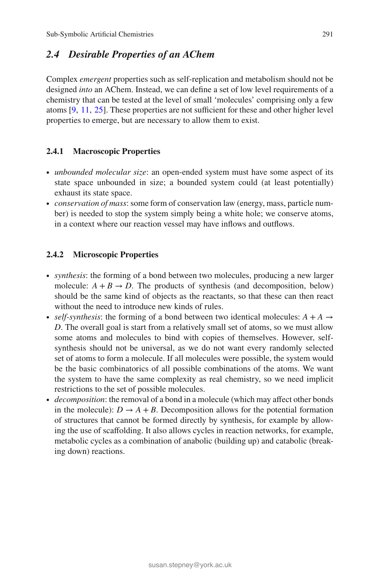# *2.4 Desirable Properties of an AChem*

Complex *emergent* properties such as self-replication and metabolism should not be designed *into* an AChem. Instead, we can define a set of low level requirements of a chemistry that can be tested at the level of small 'molecules' comprising only a few atoms [\[9,](#page-35-2) [11](#page-35-3), [25](#page-35-14)]. These properties are not sufficient for these and other higher level properties to emerge, but are necessary to allow them to exist.

# **2.4.1 Macroscopic Properties**

- ∙ *unbounded molecular size*: an open-ended system must have some aspect of its state space unbounded in size; a bounded system could (at least potentially) exhaust its state space.
- ∙ *conservation of mass*: some form of conservation law (energy, mass, particle number) is needed to stop the system simply being a white hole; we conserve atoms, in a context where our reaction vessel may have inflows and outflows.

# **2.4.2 Microscopic Properties**

- ∙ *synthesis*: the forming of a bond between two molecules, producing a new larger molecule:  $A + B \rightarrow D$ . The products of synthesis (and decomposition, below) should be the same kind of objects as the reactants, so that these can then react without the need to introduce new kinds of rules.
- ∙ *self-synthesis*: the forming of a bond between two identical molecules: *A* + *A* → *D*. The overall goal is start from a relatively small set of atoms, so we must allow some atoms and molecules to bind with copies of themselves. However, selfsynthesis should not be universal, as we do not want every randomly selected set of atoms to form a molecule. If all molecules were possible, the system would be the basic combinatorics of all possible combinations of the atoms. We want the system to have the same complexity as real chemistry, so we need implicit restrictions to the set of possible molecules.
- ∙ *decomposition*: the removal of a bond in a molecule (which may affect other bonds in the molecule):  $D \rightarrow A + B$ . Decomposition allows for the potential formation of structures that cannot be formed directly by synthesis, for example by allowing the use of scaffolding. It also allows cycles in reaction networks, for example, metabolic cycles as a combination of anabolic (building up) and catabolic (breaking down) reactions.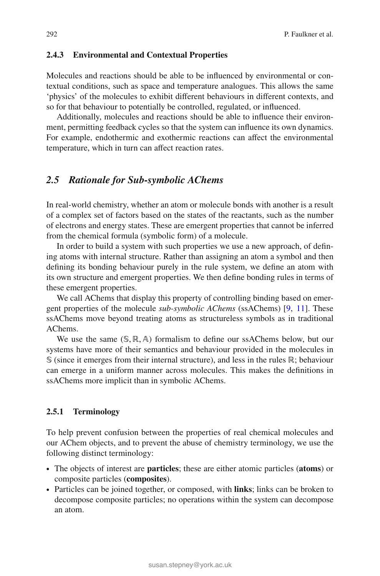#### **2.4.3 Environmental and Contextual Properties**

Molecules and reactions should be able to be influenced by environmental or contextual conditions, such as space and temperature analogues. This allows the same 'physics' of the molecules to exhibit different behaviours in different contexts, and so for that behaviour to potentially be controlled, regulated, or influenced.

Additionally, molecules and reactions should be able to influence their environment, permitting feedback cycles so that the system can influence its own dynamics. For example, endothermic and exothermic reactions can affect the environmental temperature, which in turn can affect reaction rates.

# *2.5 Rationale for Sub-symbolic AChems*

In real-world chemistry, whether an atom or molecule bonds with another is a result of a complex set of factors based on the states of the reactants, such as the number of electrons and energy states. These are emergent properties that cannot be inferred from the chemical formula (symbolic form) of a molecule.

In order to build a system with such properties we use a new approach, of defining atoms with internal structure. Rather than assigning an atom a symbol and then defining its bonding behaviour purely in the rule system, we define an atom with its own structure and emergent properties. We then define bonding rules in terms of these emergent properties.

We call AChems that display this property of controlling binding based on emergent properties of the molecule *sub-symbolic AChems* (ssAChems) [\[9,](#page-35-2) [11](#page-35-3)]. These ssAChems move beyond treating atoms as structureless symbols as in traditional AChems.

We use the same  $(S, \mathbb{R}, A)$  formalism to define our ssAChems below, but our systems have more of their semantics and behaviour provided in the molecules in S (since it emerges from their internal structure), and less in the rules ℝ; behaviour can emerge in a uniform manner across molecules. This makes the definitions in ssAChems more implicit than in symbolic AChems.

### **2.5.1 Terminology**

To help prevent confusion between the properties of real chemical molecules and our AChem objects, and to prevent the abuse of chemistry terminology, we use the following distinct terminology:

- ∙ The objects of interest are **particles**; these are either atomic particles (**atoms**) or composite particles (**composites**).
- ∙ Particles can be joined together, or composed, with **links**; links can be broken to decompose composite particles; no operations within the system can decompose an atom.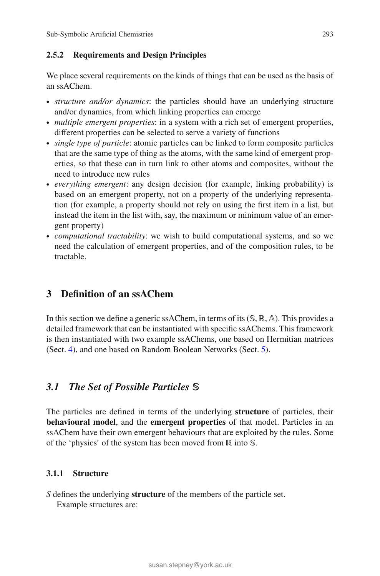# **2.5.2 Requirements and Design Principles**

We place several requirements on the kinds of things that can be used as the basis of an ssAChem.

- ∙ *structure and/or dynamics*: the particles should have an underlying structure and/or dynamics, from which linking properties can emerge
- ∙ *multiple emergent properties*: in a system with a rich set of emergent properties, different properties can be selected to serve a variety of functions
- ∙ *single type of particle*: atomic particles can be linked to form composite particles that are the same type of thing as the atoms, with the same kind of emergent properties, so that these can in turn link to other atoms and composites, without the need to introduce new rules
- ∙ *everything emergent*: any design decision (for example, linking probability) is based on an emergent property, not on a property of the underlying representation (for example, a property should not rely on using the first item in a list, but instead the item in the list with, say, the maximum or minimum value of an emergent property)
- ∙ *computational tractability*: we wish to build computational systems, and so we need the calculation of emergent properties, and of the composition rules, to be tractable.

# <span id="page-6-0"></span>**3 Definition of an ssAChem**

In this section we define a generic ssAChem, in terms of its(𝕊*,* ℝ*,* 𝔸). This provides a detailed framework that can be instantiated with specific ssAChems. This framework is then instantiated with two example ssAChems, one based on Hermitian matrices (Sect. [4\)](#page-12-0), and one based on Random Boolean Networks (Sect. [5\)](#page-24-0).

# 3.1 The Set of Possible Particles S

The particles are defined in terms of the underlying **structure** of particles, their **behavioural model**, and the **emergent properties** of that model. Particles in an ssAChem have their own emergent behaviours that are exploited by the rules. Some of the 'physics' of the system has been moved from ℝ into S.

# **3.1.1 Structure**

*S* defines the underlying **structure** of the members of the particle set. Example structures are: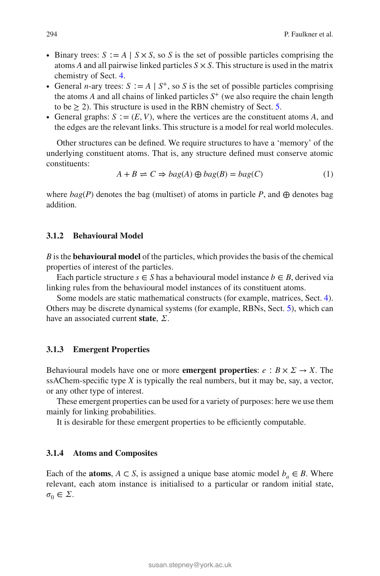- ∙ Binary trees: *S* ∶= *A* | *S* × *S*, so *S* is the set of possible particles comprising the atoms *A* and all pairwise linked particles *S* × *S*. This structure is used in the matrix chemistry of Sect. [4.](#page-12-0)
- ∙ General *n*-ary trees: *S* ∶= *A* | *S*<sup>+</sup>, so *S* is the set of possible particles comprising the atoms  $\vec{A}$  and all chains of linked particles  $S^+$  (we also require the chain length to be  $\geq$  2). This structure is used in the RBN chemistry of Sect. [5.](#page-24-0)
- ∙ General graphs: *S* ∶= (*E, V*), where the vertices are the constituent atoms *A*, and the edges are the relevant links. This structure is a model for real world molecules.

Other structures can be defined. We require structures to have a 'memory' of the underlying constituent atoms. That is, any structure defined must conserve atomic constituents:

$$
A + B \rightleftharpoons C \Rightarrow bag(A) \oplus bag(B) = bag(C)
$$
 (1)

where  $bag(P)$  denotes the bag (multiset) of atoms in particle P, and  $\oplus$  denotes bag addition.

### **3.1.2 Behavioural Model**

*B* is the **behavioural model** of the particles, which provides the basis of the chemical properties of interest of the particles.

Each particle structure  $s \in S$  has a behavioural model instance  $b \in B$ , derived via linking rules from the behavioural model instances of its constituent atoms.

Some models are static mathematical constructs (for example, matrices, Sect. [4\)](#page-12-0). Others may be discrete dynamical systems (for example, RBNs, Sect. [5\)](#page-24-0), which can have an associated current **state**,  $\Sigma$ .

#### **3.1.3 Emergent Properties**

Behavioural models have one or more **emergent properties**:  $e : B \times \Sigma \rightarrow X$ . The ssAChem-specific type *X* is typically the real numbers, but it may be, say, a vector, or any other type of interest.

These emergent properties can be used for a variety of purposes: here we use them mainly for linking probabilities.

It is desirable for these emergent properties to be efficiently computable.

#### **3.1.4 Atoms and Composites**

Each of the **atoms**,  $A \subset S$ , is assigned a unique base atomic model  $b_a \in B$ . Where relevant, each atom instance is initialised to a particular or random initial state,  $\sigma_0 \in \Sigma$ .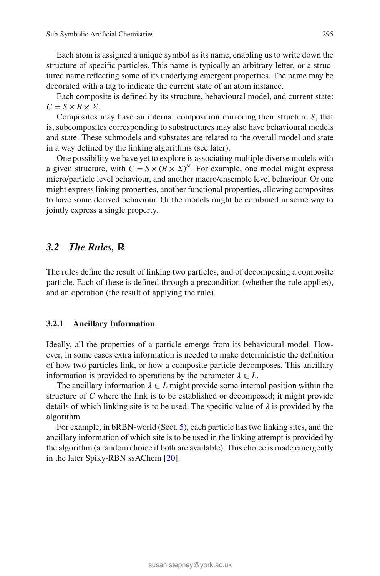Each atom is assigned a unique symbol as its name, enabling us to write down the structure of specific particles. This name is typically an arbitrary letter, or a structured name reflecting some of its underlying emergent properties. The name may be decorated with a tag to indicate the current state of an atom instance.

Each composite is defined by its structure, behavioural model, and current state:  $C = S \times B \times \Sigma$ .

Composites may have an internal composition mirroring their structure *S*; that is, subcomposites corresponding to substructures may also have behavioural models and state. These submodels and substates are related to the overall model and state in a way defined by the linking algorithms (see later).

One possibility we have yet to explore is associating multiple diverse models with a given structure, with  $C = S \times (B \times \Sigma)^N$ . For example, one model might express micro/particle level behaviour, and another macro/ensemble level behaviour. Or one might express linking properties, another functional properties, allowing composites to have some derived behaviour. Or the models might be combined in some way to jointly express a single property.

# *3.2 The Rules,* **ℝ**

The rules define the result of linking two particles, and of decomposing a composite particle. Each of these is defined through a precondition (whether the rule applies), and an operation (the result of applying the rule).

#### **3.2.1 Ancillary Information**

Ideally, all the properties of a particle emerge from its behavioural model. However, in some cases extra information is needed to make deterministic the definition of how two particles link, or how a composite particle decomposes. This ancillary information is provided to operations by the parameter  $\lambda \in L$ .

The ancillary information  $\lambda \in L$  might provide some internal position within the structure of *C* where the link is to be established or decomposed; it might provide details of which linking site is to be used. The specific value of  $\lambda$  is provided by the algorithm.

For example, in bRBN-world (Sect. [5\)](#page-24-0), each particle has two linking sites, and the ancillary information of which site is to be used in the linking attempt is provided by the algorithm (a random choice if both are available). This choice is made emergently in the later Spiky-RBN ssAChem [\[20](#page-35-15)].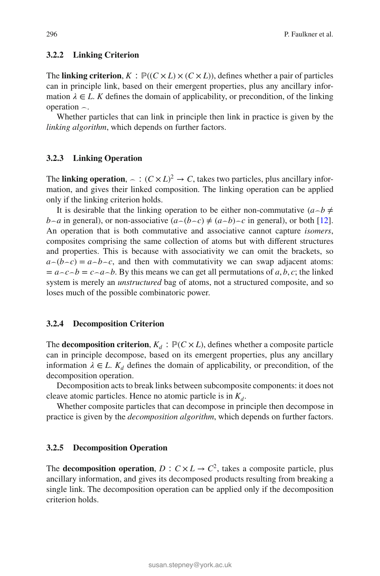#### **3.2.2 Linking Criterion**

The **linking criterion**,  $K : \mathbb{P}((C \times L) \times (C \times L))$ , defines whether a pair of particles can in principle link, based on their emergent properties, plus any ancillary information  $\lambda \in L$ . *K* defines the domain of applicability, or precondition, of the linking operation *⌢*.

Whether particles that can link in principle then link in practice is given by the *linking algorithm*, which depends on further factors.

### <span id="page-9-0"></span>**3.2.3 Linking Operation**

The **linking operation**,  $\sim$  :  $(C \times L)^2 \rightarrow C$ , takes two particles, plus ancillary information, and gives their linked composition. The linking operation can be applied only if the linking criterion holds.

It is desirable that the linking operation to be either non-commutative  $(a \neg b \neq b)$ *b* $\sim$ *a* in general), or non-associative ( $a \sim (b \sim c) \neq (a \sim b) \sim c$  in general), or both [\[12](#page-35-16)]. An operation that is both commutative and associative cannot capture *isomers*, composites comprising the same collection of atoms but with different structures and properties. This is because with associativity we can omit the brackets, so  $a<sub>0</sub>(b<sub>0</sub>c) = a<sub>0</sub>b<sub>0</sub>c$ , and then with commutativity we can swap adjacent atoms:  $= a \sim c \sim b = c \sim a \sim b$ . By this means we can get all permutations of *a*, *b*, *c*; the linked system is merely an *unstructured* bag of atoms, not a structured composite, and so loses much of the possible combinatoric power.

#### **3.2.4 Decomposition Criterion**

The **decomposition criterion**,  $K_d$ :  $\mathbb{P}(C \times L)$ , defines whether a composite particle can in principle decompose, based on its emergent properties, plus any ancillary information  $\lambda \in L$ .  $K_d$  defines the domain of applicability, or precondition, of the decomposition operation.

Decomposition acts to break links between subcomposite components: it does not cleave atomic particles. Hence no atomic particle is in  $K_d$ .

Whether composite particles that can decompose in principle then decompose in practice is given by the *decomposition algorithm*, which depends on further factors.

#### **3.2.5 Decomposition Operation**

The **decomposition operation**,  $D: C \times L \rightarrow C^2$ , takes a composite particle, plus ancillary information, and gives its decomposed products resulting from breaking a single link. The decomposition operation can be applied only if the decomposition criterion holds.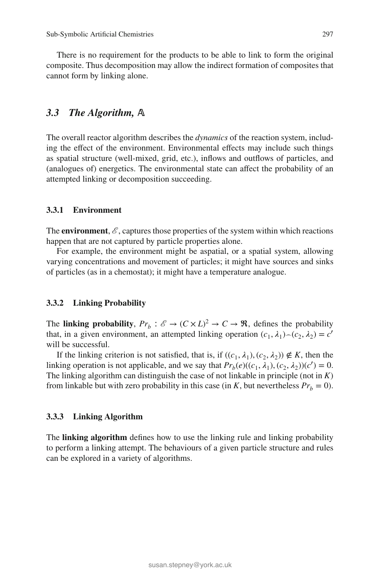There is no requirement for the products to be able to link to form the original composite. Thus decomposition may allow the indirect formation of composites that cannot form by linking alone.

# 3.3 The Algorithm, A

The overall reactor algorithm describes the *dynamics* of the reaction system, including the effect of the environment. Environmental effects may include such things as spatial structure (well-mixed, grid, etc.), inflows and outflows of particles, and (analogues of) energetics. The environmental state can affect the probability of an attempted linking or decomposition succeeding.

# **3.3.1 Environment**

The **environment**,  $\mathcal{E}$ , captures those properties of the system within which reactions happen that are not captured by particle properties alone.

For example, the environment might be aspatial, or a spatial system, allowing varying concentrations and movement of particles; it might have sources and sinks of particles (as in a chemostat); it might have a temperature analogue.

#### **3.3.2 Linking Probability**

The **linking probability**,  $Pr_b: \mathscr{E} \to (C \times L)^2 \to C \to \mathfrak{R}$ , defines the probability that, in a given environment, an attempted linking operation  $(c_1, \lambda_1) \neg (c_2, \lambda_2) = c'$ will be successful.

If the linking criterion is not satisfied, that is, if  $((c_1, \lambda_1), (c_2, \lambda_2)) \notin K$ , then the linking operation is not applicable, and we say that  $Pr_b(e)((c_1, \lambda_1), (c_2, \lambda_2))(c') = 0$ . The linking algorithm can distinguish the case of not linkable in principle (not in *K*) from linkable but with zero probability in this case (in *K*, but nevertheless  $Pr_b = 0$ ).

#### **3.3.3 Linking Algorithm**

The **linking algorithm** defines how to use the linking rule and linking probability to perform a linking attempt. The behaviours of a given particle structure and rules can be explored in a variety of algorithms.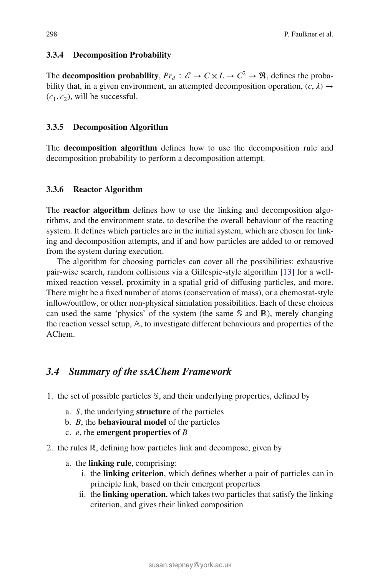### **3.3.4 Decomposition Probability**

The **decomposition probability**,  $Pr_d : \mathcal{E} \to C \times L \to C^2 \to \mathbb{R}$ , defines the probability that, in a given environment, an attempted decomposition operation,  $(c, \lambda) \rightarrow$  $(c_1, c_2)$ , will be successful.

# **3.3.5 Decomposition Algorithm**

The **decomposition algorithm** defines how to use the decomposition rule and decomposition probability to perform a decomposition attempt.

#### **3.3.6 Reactor Algorithm**

The **reactor algorithm** defines how to use the linking and decomposition algorithms, and the environment state, to describe the overall behaviour of the reacting system. It defines which particles are in the initial system, which are chosen for linking and decomposition attempts, and if and how particles are added to or removed from the system during execution.

The algorithm for choosing particles can cover all the possibilities: exhaustive pair-wise search, random collisions via a Gillespie-style algorithm [\[13](#page-35-17)] for a wellmixed reaction vessel, proximity in a spatial grid of diffusing particles, and more. There might be a fixed number of atoms (conservation of mass), or a chemostat-style inflow/outflow, or other non-physical simulation possibilities. Each of these choices can used the same 'physics' of the system (the same  $\mathcal{S}$  and ℝ), merely changing the reaction vessel setup,  $A$ , to investigate different behaviours and properties of the AChem.

# *3.4 Summary of the ssAChem Framework*

- 1. the set of possible particles  $\mathcal{S}$ , and their underlying properties, defined by
	- a. *S*, the underlying **structure** of the particles
	- b. *B*, the **behavioural model** of the particles
	- c. *e*, the **emergent properties** of *B*
- 2. the rules ℝ, defining how particles link and decompose, given by
	- a. the **linking rule**, comprising:
		- i. the **linking criterion**, which defines whether a pair of particles can in principle link, based on their emergent properties
		- ii. the **linking operation**, which takes two particles that satisfy the linking criterion, and gives their linked composition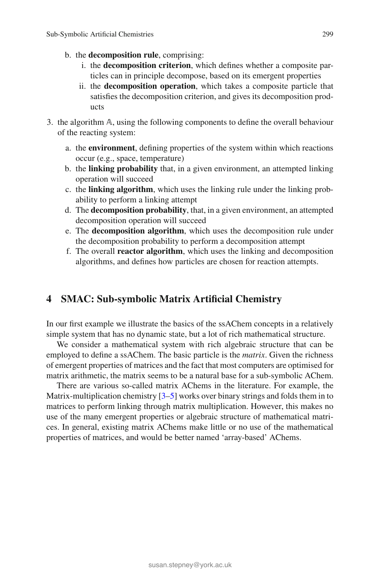- b. the **decomposition rule**, comprising:
	- i. the **decomposition criterion**, which defines whether a composite particles can in principle decompose, based on its emergent properties
	- ii. the **decomposition operation**, which takes a composite particle that satisfies the decomposition criterion, and gives its decomposition products
- 3. the algorithm  $A$ , using the following components to define the overall behaviour of the reacting system:
	- a. the **environment**, defining properties of the system within which reactions occur (e.g., space, temperature)
	- b. the **linking probability** that, in a given environment, an attempted linking operation will succeed
	- c. the **linking algorithm**, which uses the linking rule under the linking probability to perform a linking attempt
	- d. The **decomposition probability**, that, in a given environment, an attempted decomposition operation will succeed
	- e. The **decomposition algorithm**, which uses the decomposition rule under the decomposition probability to perform a decomposition attempt
	- f. The overall **reactor algorithm**, which uses the linking and decomposition algorithms, and defines how particles are chosen for reaction attempts.

# <span id="page-12-0"></span>**4 SMAC: Sub-symbolic Matrix Artificial Chemistry**

In our first example we illustrate the basics of the ssAChem concepts in a relatively simple system that has no dynamic state, but a lot of rich mathematical structure.

We consider a mathematical system with rich algebraic structure that can be employed to define a ssAChem. The basic particle is the *matrix*. Given the richness of emergent properties of matrices and the fact that most computers are optimised for matrix arithmetic, the matrix seems to be a natural base for a sub-symbolic AChem.

There are various so-called matrix AChems in the literature. For example, the Matrix-multiplication chemistry  $[3-5]$  $[3-5]$  works over binary strings and folds them in to matrices to perform linking through matrix multiplication. However, this makes no use of the many emergent properties or algebraic structure of mathematical matrices. In general, existing matrix AChems make little or no use of the mathematical properties of matrices, and would be better named 'array-based' AChems.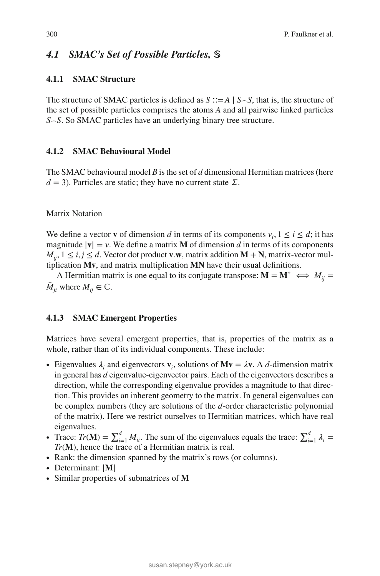# 4.1 SMAC's Set of Possible Particles, S

# **4.1.1 SMAC Structure**

The structure of SMAC particles is defined as *S* ∶∶=*A* | *S⌢S*, that is, the structure of the set of possible particles comprises the atoms *A* and all pairwise linked particles *S⌢S*. So SMAC particles have an underlying binary tree structure.

### **4.1.2 SMAC Behavioural Model**

The SMAC behavioural model *B* is the set of *d* dimensional Hermitian matrices (here  $d = 3$ ). Particles are static; they have no current state  $\Sigma$ .

### Matrix Notation

We define a vector **v** of dimension *d* in terms of its components  $v_i$ ,  $1 \le i \le d$ ; it has magnitude  $|\mathbf{v}| = v$ . We define a matrix **M** of dimension *d* in terms of its components  $M_{ii}$ ,  $1 \le i, j \le d$ . Vector dot product **v**.w, matrix addition **M** + **N**, matrix-vector multiplication Mv, and matrix multiplication MN have their usual definitions.

A Hermitian matrix is one equal to its conjugate transpose:  $\mathbf{M} = \mathbf{M}^{\dagger} \iff M_{ii} =$  $\overline{M}_{ii}$  where  $M_{ii} \in \mathbb{C}$ .

#### **4.1.3 SMAC Emergent Properties**

Matrices have several emergent properties, that is, properties of the matrix as a whole, rather than of its individual components. These include:

- Eigenvalues  $\lambda_i$  and eigenvectors  $\mathbf{v}_i$ , solutions of  $\mathbf{M}\mathbf{v} = \lambda \mathbf{v}$ . A *d*-dimension matrix in general has *d* eigenvalue-eigenvector pairs. Each of the eigenvectors describes a direction, while the corresponding eigenvalue provides a magnitude to that direction. This provides an inherent geometry to the matrix. In general eigenvalues can be complex numbers (they are solutions of the *d*-order characteristic polynomial of the matrix). Here we restrict ourselves to Hermitian matrices, which have real eigenvalues.
- Trace:  $Tr(\mathbf{M}) = \sum_{i=1}^{d} M_{ii}$ . The sum of the eigenvalues equals the trace:  $\sum_{i=1}^{d} \lambda_i =$ *Tr*(**M**), hence the trace of a Hermitian matrix is real.
- ∙ Rank: the dimension spanned by the matrix's rows (or columns).
- ∙ Determinant: |**𝐌**|
- ∙ Similar properties of submatrices of **𝐌**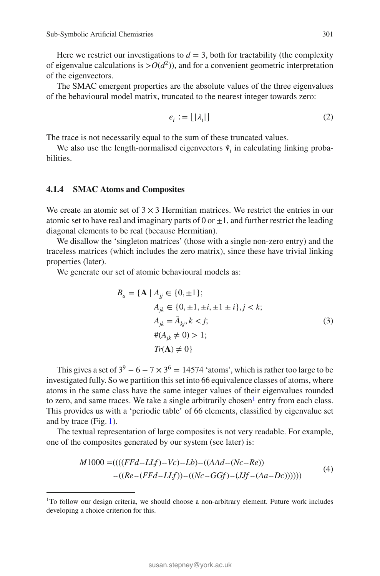Here we restrict our investigations to  $d = 3$ , both for tractability (the complexity of eigenvalue calculations is  $> O(d^2)$ ), and for a convenient geometric interpretation of the eigenvectors.

The SMAC emergent properties are the absolute values of the three eigenvalues of the behavioural model matrix, truncated to the nearest integer towards zero:

$$
e_i := \lfloor |\lambda_i| \rfloor \tag{2}
$$

The trace is not necessarily equal to the sum of these truncated values.

We also use the length-normalised eigenvectors  $\hat{v}$ <sup>*i*</sup> in calculating linking probabilities.

#### **4.1.4 SMAC Atoms and Composites**

We create an atomic set of  $3 \times 3$  Hermitian matrices. We restrict the entries in our atomic set to have real and imaginary parts of 0 or  $\pm 1$ , and further restrict the leading diagonal elements to be real (because Hermitian).

We disallow the 'singleton matrices' (those with a single non-zero entry) and the traceless matrices (which includes the zero matrix), since these have trivial linking properties (later).

We generate our set of atomic behavioural models as:

$$
B_a = \{ \mathbf{A} \mid A_{jj} \in \{0, \pm 1\};
$$
  
\n
$$
A_{jk} \in \{0, \pm 1, \pm i, \pm 1 \pm i\}, j < k;
$$
  
\n
$$
A_{jk} = \bar{A}_{kj}, k < j;
$$
  
\n
$$
\#(A_{jk} \neq 0) > 1;
$$
  
\n
$$
Tr(\mathbf{A}) \neq 0 \}
$$
\n(3)

This gives a set of  $3^9 - 6 - 7 \times 3^6 = 14574$  'atoms', which is rather too large to be investigated fully. So we partition this set into 66 equivalence classes of atoms, where atoms in the same class have the same integer values of their eigenvalues rounded to zero, and same traces. We take a single arbitrarily chosen<sup>1</sup> entry from each class. This provides us with a 'periodic table' of 66 elements, classified by eigenvalue set and by trace (Fig. [1\)](#page-15-0).

<span id="page-14-1"></span>The textual representation of large composites is not very readable. For example, one of the composites generated by our system (see later) is:

$$
M1000 = ((( (FFd - LLf) - Vc) - Lb) - ((AAd - (Nc - Re))- ((Re - (FFd - LLf)) - ((Nc - GGf) - (Jtf - (Aa - Dc))))))
$$
\n(4)

<span id="page-14-0"></span><sup>&</sup>lt;sup>1</sup>To follow our design criteria, we should choose a non-arbitrary element. Future work includes developing a choice criterion for this.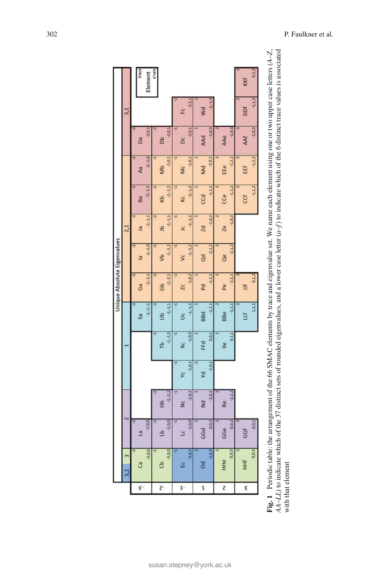<span id="page-15-0"></span>

| ී<br>3,2 | m        |                |                |            |             |              |                 |                |              |             |             |          |            |         |
|----------|----------|----------------|----------------|------------|-------------|--------------|-----------------|----------------|--------------|-------------|-------------|----------|------------|---------|
|          |          |                |                |            |             |              |                 |                | 2,1          |             |             |          | 3,1        |         |
|          | ņ        | ņ              |                |            |             | Ű            |                 |                |              | ņ           |             |          |            |         |
|          |          | B              |                |            |             | Sa           | Ĝã              | $\overline{a}$ | $\mathbf{a}$ | Ba          | Aa          | Da       |            | trace   |
|          | $-3,0,0$ | $-2,0,0$       |                |            |             | $-1, -1, -1$ | $-2, -2, 1$     | $-2, -1, 0$    | $-2, -1, 1$  | $-3, -1, 1$ | $-3, -1, 0$ | $-3.0.$  |            | Element |
|          | Ņ        | Ņ              |                |            | Ņ           | S            |                 |                |              |             | ٩           |          |            | e'vals  |
|          |          | £              | 순<br>도         |            | rb          | B            | Gb              | \$             | e            | Kb          | Mb          | <b>B</b> |            |         |
|          | $-3,0,0$ | $-2,0,0$       | $-2, -2, 2$    |            | $-1, -1, 0$ | $-1, -1, 1$  | $-2, -2, 1$     | $-1, -1, 2$    | $-2, -1, 1$  | $-2, -1, 2$ | $-2, 0, 1$  | $-3,0,1$ |            |         |
|          |          | 7              | 7              |            | 7           | ۳            |                 |                |              |             | 7           | ٢        |            |         |
|          |          | $\overline{a}$ | $\frac{c}{2}$  | ۶ć         | Хc          | S            | $\overline{2c}$ | $\mathsf{S}$   | <u>Jc</u>    | kc          | Mc          | Δc       | Ec         |         |
|          | $-3,0,2$ | $-2,0,0$       | $-2, 0, 2$     | $-1, 0, 1$ | $-1,0,0$    | $-1, -1, 1$  | $-1, 0, 2$      | $-1, -1, 2$    | $-2, -1, 1$  | $-2, -1, 2$ | $-2,0,1$    | $-3,0,1$ | $-3,1.1$   |         |
|          |          |                |                | Ţ          |             |              |                 |                |              |             |             |          |            |         |
|          |          | GGd            | $\overline{z}$ | yd         | FFd         | <b>BBd</b>   | Pd              | <b>a</b>       | Zd           | CCd         | Md          | AAd      | Wd         |         |
|          | $-2,0,3$ | 0,0,2          | $-2.0.2$       | $-1, 0, 1$ | 0,0,1       | 1,1,1        | $-2,1,1$        | $-2.1.2$       | $-1, 0, 2$   | 1, 1, 2     | $-2,0,1$    | $-1.0.3$ | $-1, -1.3$ |         |
|          |          |                |                |            |             |              |                 |                |              |             |             |          |            |         |
| HHe      |          | GGe            | Re             |            | ≗           | <b>BBe</b>   | Pe              | <b>a</b>       | Ze           | CCe         | EEe         | AAe      |            |         |
|          | 0,0,3    | 0,0,2          | $-2.2.2$       |            | 0,1,1       | $-1.1.1$     | $-2, 1, 1$      | $-2.1.2$       | $-1,0,2$     | $-1, 1, 2$  | $-1, 2, 2$  | $-1.0.3$ |            |         |
|          |          |                |                |            |             |              |                 |                |              |             |             |          |            |         |
|          |          | GGf            |                |            |             | Шf           | ă               |                |              | CCf         | EEf         | AAf      | ð          | KKf     |
|          | 0,0,3    | 0,0,2          |                |            |             | 1,1,1        | 0, 1, 2         |                |              | 1, 1, 2     | $-1, 2, 2$  | $-1,0,3$ | $-1, 1, 3$ | 0,1,3   |

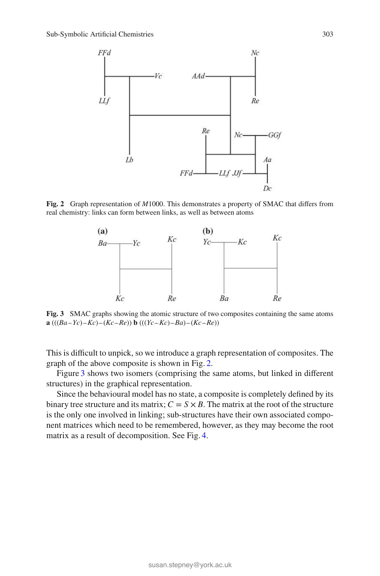

<span id="page-16-1"></span>**Fig. 2** Graph representation of *M*1000. This demonstrates a property of SMAC that differs from real chemistry: links can form between links, as well as between atoms



<span id="page-16-0"></span>**Fig. 3** SMAC graphs showing the atomic structure of two composites containing the same atoms **a** (( $(Ba - Yc) - Kc$ ) $(Ac - Re)$ ) **b** (( $(Yc - Kc) - Ba$ ) $(Ac - Re)$ )

This is difficult to unpick, so we introduce a graph representation of composites. The graph of the above composite is shown in Fig. [2.](#page-16-1)

Figure [3](#page-16-0) shows two isomers (comprising the same atoms, but linked in different structures) in the graphical representation.

Since the behavioural model has no state, a composite is completely defined by its binary tree structure and its matrix;  $C = S \times B$ . The matrix at the root of the structure is the only one involved in linking; sub-structures have their own associated component matrices which need to be remembered, however, as they may become the root matrix as a result of decomposition. See Fig. [4.](#page-17-0)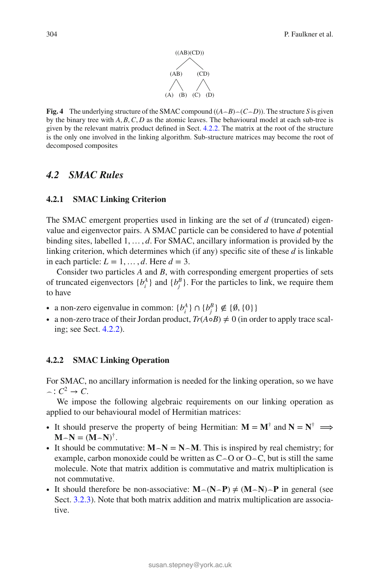

<span id="page-17-0"></span>**Fig. 4** The underlying structure of the SMAC compound  $((A \neg B) \neg (C \neg D))$ . The structure *S* is given by the binary tree with *A, B,C, D* as the atomic leaves. The behavioural model at each sub-tree is given by the relevant matrix product defined in Sect. [4.2.2.](#page-17-1) The matrix at the root of the structure is the only one involved in the linking algorithm. Sub-structure matrices may become the root of decomposed composites

# *4.2 SMAC Rules*

#### **4.2.1 SMAC Linking Criterion**

The SMAC emergent properties used in linking are the set of *d* (truncated) eigenvalue and eigenvector pairs. A SMAC particle can be considered to have *d* potential binding sites, labelled 1*,*…*, d*. For SMAC, ancillary information is provided by the linking criterion, which determines which (if any) specific site of these *d* is linkable in each particle:  $L = 1, \ldots, d$ . Here  $d = 3$ .

Consider two particles *A* and *B*, with corresponding emergent properties of sets of truncated eigenvectors  $\{b_i^A\}$  and  $\{b_j^B\}$ . For the particles to link, we require them to have

- a non-zero eigenvalue in common:  ${b_i^A} \cap {b_j^B} \notin {\emptyset, \{0\}}$
- ∙ a non-zero trace of their Jordan product, *Tr*(*A*◦*B*) ≠ 0 (in order to apply trace scaling; see Sect. [4.2.2\)](#page-17-1).

#### <span id="page-17-1"></span>**4.2.2 SMAC Linking Operation**

For SMAC, no ancillary information is needed for the linking operation, so we have  $\frown$ *∶*  $C^2$  →  $C$ .

We impose the following algebraic requirements on our linking operation as applied to our behavioural model of Hermitian matrices:

- It should preserve the property of being Hermitian:  $M = M^{\dagger}$  and  $N = N^{\dagger} \implies$  $\mathbf{M} \sim \mathbf{N} = (\mathbf{M} \sim \mathbf{N})^{\dagger}$ .
- ∙ It should be commutative: **𝐌***⌢***𝐍** = **𝐍***⌢***𝐌**. This is inspired by real chemistry; for example, carbon monoxide could be written as C*⌢*O or O*⌢*C, but is still the same molecule. Note that matrix addition is commutative and matrix multiplication is not commutative.
- ∙ It should therefore be non-associative: **𝐌***⌢*(**𝐍***⌢***𝐏**) ≠ (**𝐌***⌢***𝐍**)*⌢***𝐏** in general (see Sect. [3.2.3\)](#page-9-0). Note that both matrix addition and matrix multiplication are associative.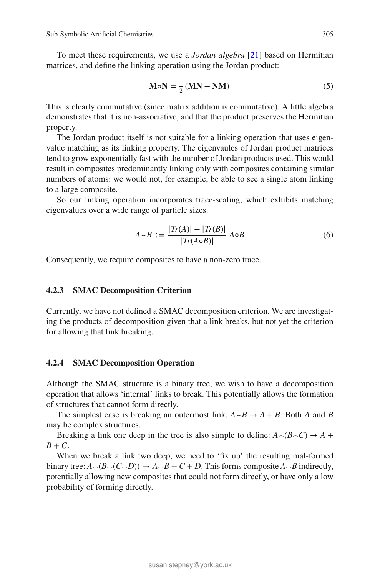<span id="page-18-0"></span>To meet these requirements, we use a *Jordan algebra* [\[21](#page-35-20)] based on Hermitian matrices, and define the linking operation using the Jordan product:

$$
M \circ N = \frac{1}{2} (MN + NM)
$$
 (5)

This is clearly commutative (since matrix addition is commutative). A little algebra demonstrates that it is non-associative, and that the product preserves the Hermitian property.

The Jordan product itself is not suitable for a linking operation that uses eigenvalue matching as its linking property. The eigenvaules of Jordan product matrices tend to grow exponentially fast with the number of Jordan products used. This would result in composites predominantly linking only with composites containing similar numbers of atoms: we would not, for example, be able to see a single atom linking to a large composite.

So our linking operation incorporates trace-scaling, which exhibits matching eigenvalues over a wide range of particle sizes.

$$
A \sim B := \frac{|Tr(A)| + |Tr(B)|}{|Tr(A \circ B)|} A \circ B
$$
 (6)

Consequently, we require composites to have a non-zero trace.

### **4.2.3 SMAC Decomposition Criterion**

Currently, we have not defined a SMAC decomposition criterion. We are investigating the products of decomposition given that a link breaks, but not yet the criterion for allowing that link breaking.

### **4.2.4 SMAC Decomposition Operation**

Although the SMAC structure is a binary tree, we wish to have a decomposition operation that allows 'internal' links to break. This potentially allows the formation of structures that cannot form directly.

The simplest case is breaking an outermost link.  $A \rightarrow B \rightarrow A + B$ . Both *A* and *B* may be complex structures.

Breaking a link one deep in the tree is also simple to define:  $A \sim (B \sim C) \rightarrow A +$  $B + C$ .

When we break a link two deep, we need to 'fix up' the resulting mal-formed binary tree:  $A \sim (B \sim (C \sim D)) \rightarrow A \sim B + C + D$ . This forms composite  $A \sim B$  indirectly, potentially allowing new composites that could not form directly, or have only a low probability of forming directly.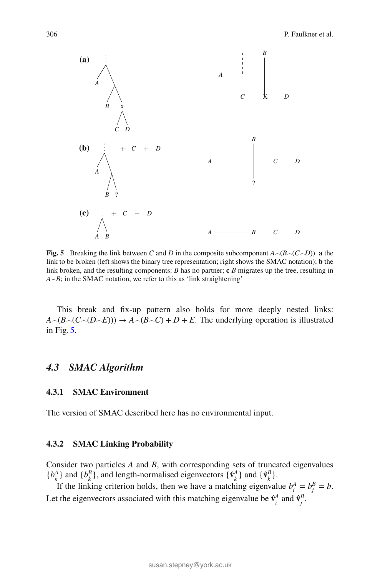

<span id="page-19-0"></span>**Fig. 5** Breaking the link between *C* and *D* in the composite subcomponent  $A \sim (B \sim (C \sim D))$ . **a** the link to be broken (left shows the binary tree representation; right shows the SMAC notation); **b** the link broken, and the resulting components: *B* has no partner; **c** *B* migrates up the tree, resulting in  $A \sim B$ ; in the SMAC notation, we refer to this as 'link straightening'

This break and fix-up pattern also holds for more deeply nested links:  $A \sim (B \sim (C \sim (D \sim E))) \rightarrow A \sim (B \sim C) + D + E$ . The underlying operation is illustrated in Fig. [5.](#page-19-0)

# *4.3 SMAC Algorithm*

# **4.3.1 SMAC Environment**

The version of SMAC described here has no environmental input.

### **4.3.2 SMAC Linking Probability**

Consider two particles *A* and *B*, with corresponding sets of truncated eigenvalues  ${b_k^A}$  and  ${b_k^B}$ , and length-normalised eigenvectors  ${\hat{\bf{v}}_k^A}$  and  ${\hat{\bf{v}}_k^B}$ .

If the linking criterion holds, then we have a matching eigenvalue  $b_i^A = b_i^B = b$ . Let the eigenvectors associated with this matching eigenvalue be  $\hat{\mathbf{v}}_i^A$  and  $\hat{\mathbf{v}}_i^B$ .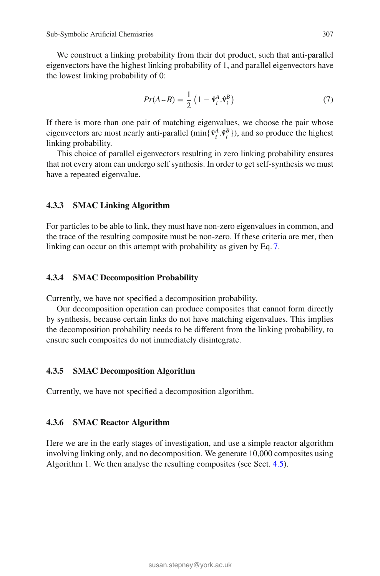<span id="page-20-0"></span>We construct a linking probability from their dot product, such that anti-parallel eigenvectors have the highest linking probability of 1, and parallel eigenvectors have the lowest linking probability of 0:

$$
Pr(A \sim B) = \frac{1}{2} \left( 1 - \hat{\mathbf{v}}_i^A \cdot \hat{\mathbf{v}}_i^B \right) \tag{7}
$$

If there is more than one pair of matching eigenvalues, we choose the pair whose eigenvectors are most nearly anti-parallel (min{ $\hat{v}_i^A \cdot \hat{v}_i^B$ )), and so produce the highest linking probability.

This choice of parallel eigenvectors resulting in zero linking probability ensures that not every atom can undergo self synthesis. In order to get self-synthesis we must have a repeated eigenvalue.

### **4.3.3 SMAC Linking Algorithm**

For particles to be able to link, they must have non-zero eigenvalues in common, and the trace of the resulting composite must be non-zero. If these criteria are met, then linking can occur on this attempt with probability as given by Eq. [7.](#page-20-0)

#### **4.3.4 SMAC Decomposition Probability**

Currently, we have not specified a decomposition probability.

Our decomposition operation can produce composites that cannot form directly by synthesis, because certain links do not have matching eigenvalues. This implies the decomposition probability needs to be different from the linking probability, to ensure such composites do not immediately disintegrate.

### **4.3.5 SMAC Decomposition Algorithm**

Currently, we have not specified a decomposition algorithm.

#### **4.3.6 SMAC Reactor Algorithm**

Here we are in the early stages of investigation, and use a simple reactor algorithm involving linking only, and no decomposition. We generate 10,000 composites using Algorithm 1. We then analyse the resulting composites (see Sect. [4.5\)](#page-22-0).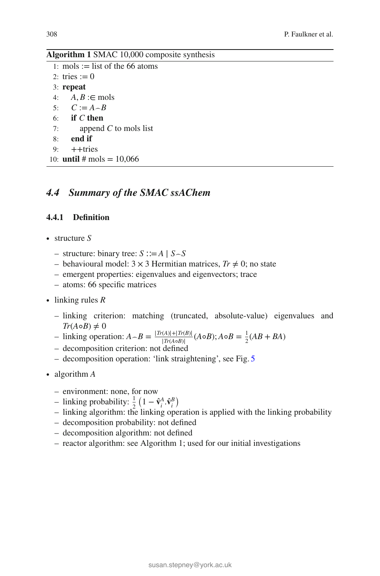### **Algorithm 1** SMAC 10,000 composite synthesis

|    | 1: mols := list of the 66 atoms    |
|----|------------------------------------|
|    | 2: tries $:= 0$                    |
|    | $3:$ repeat                        |
|    | 4: $A, B \in \text{mols}$          |
|    | 5: $C := A - B$                    |
|    | 6: if $C$ then                     |
| 7: | append $C$ to mols list            |
| 8: | end if                             |
|    | 9: $++$ tries                      |
|    | 10: <b>until</b> # mols = $10,066$ |
|    |                                    |

# *4.4 Summary of the SMAC ssAChem*

## **4.4.1 Definition**

- ∙ structure *S*
	- structure: binary tree: *S* ∶∶=*A* | *S⌢S*
	- behavioural model: 3 × 3 Hermitian matrices, *Tr* ≠ 0; no state
	- emergent properties: eigenvalues and eigenvectors; trace
	- atoms: 66 specific matrices
- ∙ linking rules *R*
	- linking criterion: matching (truncated, absolute-value) eigenvalues and  $Tr(A \circ B) \neq 0$

 $A \cap B = \frac{|Tr(A)| + |Tr(B)|}{|Tr(A \circ B)|} (A \circ B); A \circ B = \frac{1}{2} (AB + BA)$ 

- decomposition criterion: not defined
- decomposition operation: 'link straightening', see Fig. [5](#page-19-0)
- ∙ algorithm *A*
	- environment: none, for now
	- $-$  linking probability:  $\frac{1}{2} \left( 1 \hat{v}_i^A \cdot \hat{v}_i^B \right)$
	- linking algorithm: the linking operation is applied with the linking probability
	- decomposition probability: not defined
	- decomposition algorithm: not defined
	- reactor algorithm: see Algorithm 1; used for our initial investigations

)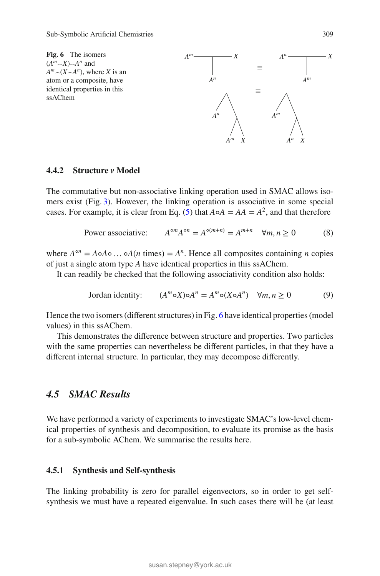<span id="page-22-1"></span>

### **4.4.2 Structure** *v* **Model**

The commutative but non-associative linking operation used in SMAC allows isomers exist (Fig. [3\)](#page-16-0). However, the linking operation is associative in some special cases. For example, it is clear from Eq. [\(5\)](#page-18-0) that  $A \circ A = AA = A^2$ , and that therefore

Power associative: 
$$
A^{\circ m}A^{\circ n} = A^{\circ (m+n)} = A^{m+n} \quad \forall m, n \ge 0
$$
 (8)

where  $A^{\circ n} = A \circ A \circ \dots \circ A(n \text{ times}) = A^n$ . Hence all composites containing *n* copies of just a single atom type *A* have identical properties in this ssAChem.

It can readily be checked that the following associativity condition also holds:

$$
Jordan identity: (Am \circ X) \circ An = Am \circ (X \circ An) \quad \forall m, n \ge 0
$$
 (9)

Hence the two isomers (different structures) in Fig. [6](#page-22-1) have identical properties (model values) in this ssAChem.

This demonstrates the difference between structure and properties. Two particles with the same properties can nevertheless be different particles, in that they have a different internal structure. In particular, they may decompose differently.

# <span id="page-22-0"></span>*4.5 SMAC Results*

We have performed a variety of experiments to investigate SMAC's low-level chemical properties of synthesis and decomposition, to evaluate its promise as the basis for a sub-symbolic AChem. We summarise the results here.

# **4.5.1 Synthesis and Self-synthesis**

The linking probability is zero for parallel eigenvectors, so in order to get selfsynthesis we must have a repeated eigenvalue. In such cases there will be (at least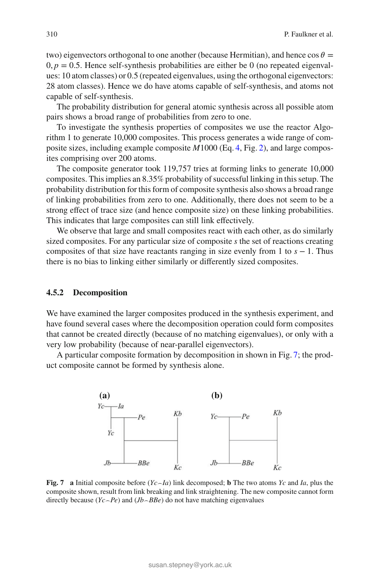two) eigenvectors orthogonal to one another (because Hermitian), and hence  $\cos \theta =$  $0, p = 0.5$ . Hence self-synthesis probabilities are either be 0 (no repeated eigenvalues: 10 atom classes) or 0.5 (repeated eigenvalues, using the orthogonal eigenvectors: 28 atom classes). Hence we do have atoms capable of self-synthesis, and atoms not capable of self-synthesis.

The probability distribution for general atomic synthesis across all possible atom pairs shows a broad range of probabilities from zero to one.

To investigate the synthesis properties of composites we use the reactor Algorithm 1 to generate 10,000 composites. This process generates a wide range of composite sizes, including example composite *M*1000 (Eq. [4,](#page-14-1) Fig. [2\)](#page-16-1), and large composites comprising over 200 atoms.

The composite generator took 119,757 tries at forming links to generate 10,000 composites. This implies an 8.35% probability of successful linking in this setup. The probability distribution for this form of composite synthesis also shows a broad range of linking probabilities from zero to one. Additionally, there does not seem to be a strong effect of trace size (and hence composite size) on these linking probabilities. This indicates that large composites can still link effectively.

We observe that large and small composites react with each other, as do similarly sized composites. For any particular size of composite *s* the set of reactions creating composites of that size have reactants ranging in size evenly from 1 to *s* − 1. Thus there is no bias to linking either similarly or differently sized composites.

#### **4.5.2 Decomposition**

We have examined the larger composites produced in the synthesis experiment, and have found several cases where the decomposition operation could form composites that cannot be created directly (because of no matching eigenvalues), or only with a very low probability (because of near-parallel eigenvectors).

A particular composite formation by decomposition in shown in Fig. [7;](#page-23-0) the product composite cannot be formed by synthesis alone.



<span id="page-23-0"></span>**Fig. 7 a** Initial composite before (*Yc⌢Ia*) link decomposed; **b** The two atoms *Yc* and *Ia*, plus the composite shown, result from link breaking and link straightening. The new composite cannot form directly because  $(Yc \neg Pe)$  and  $(Jb \neg BBe)$  do not have matching eigenvalues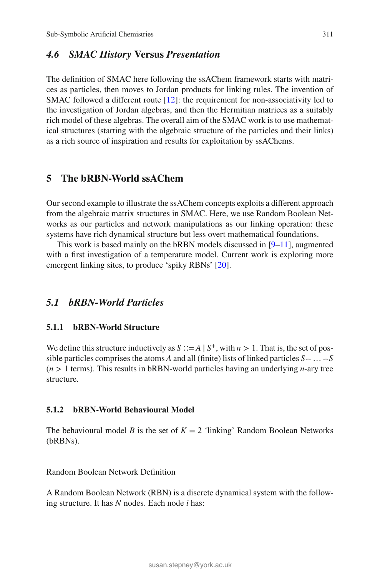# *4.6 SMAC History* **Versus** *Presentation*

The definition of SMAC here following the ssAChem framework starts with matrices as particles, then moves to Jordan products for linking rules. The invention of SMAC followed a different route  $[12]$  $[12]$ : the requirement for non-associativity led to the investigation of Jordan algebras, and then the Hermitian matrices as a suitably rich model of these algebras. The overall aim of the SMAC work is to use mathematical structures (starting with the algebraic structure of the particles and their links) as a rich source of inspiration and results for exploitation by ssAChems.

# <span id="page-24-0"></span>**5 The bRBN-World ssAChem**

Our second example to illustrate the ssAChem concepts exploits a different approach from the algebraic matrix structures in SMAC. Here, we use Random Boolean Networks as our particles and network manipulations as our linking operation: these systems have rich dynamical structure but less overt mathematical foundations.

This work is based mainly on the bRBN models discussed in  $[9-11]$  $[9-11]$ , augmented with a first investigation of a temperature model. Current work is exploring more emergent linking sites, to produce 'spiky RBNs' [\[20](#page-35-15)].

# *5.1 bRBN-World Particles*

#### **5.1.1 bRBN-World Structure**

We define this structure inductively as  $S ::= A \mid S^+$ , with  $n > 1$ . That is, the set of possible particles comprises the atoms *A* and all (finite) lists of linked particles  $S \sim \ldots \sim S$ (*n >* 1 terms). This results in bRBN-world particles having an underlying *n*-ary tree structure.

### **5.1.2 bRBN-World Behavioural Model**

The behavioural model *B* is the set of  $K = 2$  'linking' Random Boolean Networks (bRBNs).

Random Boolean Network Definition

A Random Boolean Network (RBN) is a discrete dynamical system with the following structure. It has *N* nodes. Each node *i* has: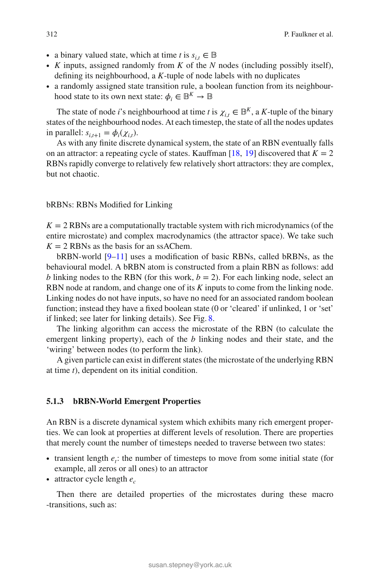- a binary valued state, which at time *t* is  $s_i, \in \mathbb{B}$
- ∙ *K* inputs, assigned randomly from *K* of the *N* nodes (including possibly itself), defining its neighbourhood, a *K*-tuple of node labels with no duplicates
- ∙ a randomly assigned state transition rule, a boolean function from its neighbourhood state to its own next state:  $\phi_i \in \mathbb{B}^K \to \mathbb{B}$

The state of node *i*'s neighbourhood at time *t* is  $\chi_{i,t} \in \mathbb{B}^K$ , a *K*-tuple of the binary states of the neighbourhood nodes. At each timestep, the state of all the nodes updates in parallel:  $s_{i,t+1} = \phi_i(\chi_{i,t})$ .

As with any finite discrete dynamical system, the state of an RBN eventually falls on an attractor: a repeating cycle of states. Kauffman  $[18, 19]$  $[18, 19]$  $[18, 19]$  discovered that  $K = 2$ RBNs rapidly converge to relatively few relatively short attractors: they are complex, but not chaotic.

### bRBNs: RBNs Modified for Linking

 $K = 2$  RBNs are a computationally tractable system with rich microdynamics (of the entire microstate) and complex macrodynamics (the attractor space). We take such  $K = 2$  RBNs as the basis for an ssAChem.

bRBN-world [\[9](#page-35-2)[–11\]](#page-35-3) uses a modification of basic RBNs, called bRBNs, as the behavioural model. A bRBN atom is constructed from a plain RBN as follows: add *b* linking nodes to the RBN (for this work,  $b = 2$ ). For each linking node, select an RBN node at random, and change one of its *K* inputs to come from the linking node. Linking nodes do not have inputs, so have no need for an associated random boolean function; instead they have a fixed boolean state (0 or 'cleared' if unlinked, 1 or 'set' if linked; see later for linking details). See Fig. [8.](#page-26-0)

The linking algorithm can access the microstate of the RBN (to calculate the emergent linking property), each of the *b* linking nodes and their state, and the 'wiring' between nodes (to perform the link).

A given particle can exist in different states (the microstate of the underlying RBN at time *t*), dependent on its initial condition.

#### <span id="page-25-0"></span>**5.1.3 bRBN-World Emergent Properties**

An RBN is a discrete dynamical system which exhibits many rich emergent properties. We can look at properties at different levels of resolution. There are properties that merely count the number of timesteps needed to traverse between two states:

- ∙ transient length *et*: the number of timesteps to move from some initial state (for example, all zeros or all ones) to an attractor
- ∙ attractor cycle length *ec*

Then there are detailed properties of the microstates during these macro -transitions, such as: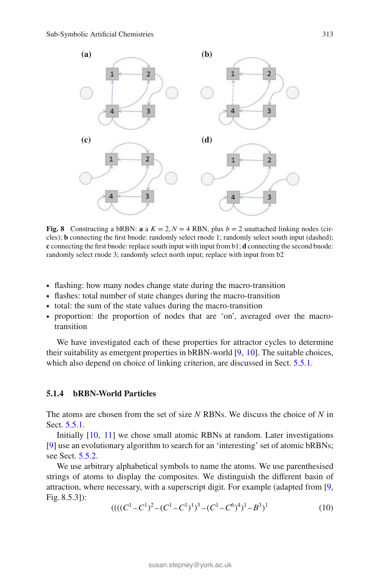

<span id="page-26-0"></span>**Fig. 8** Constructing a bRBN: **a** a  $K = 2, N = 4$  RBN, plus  $b = 2$  unattached linking nodes (circles); **b** connecting the first bnode: randomly select rnode 1; randomly select south input (dashed); **c** connecting the first bnode: replace south input with input from b1; **d** connecting the second bnode: randomly select rnode 3; randomly select north input; replace with input from b2

- ∙ flashing: how many nodes change state during the macro-transition
- ∙ flashes: total number of state changes during the macro-transition
- ∙ total: the sum of the state values during the macro-transition
- ∙ proportion: the proportion of nodes that are 'on', averaged over the macrotransition

We have investigated each of these properties for attractor cycles to determine their suitability as emergent properties in bRBN-world [\[9,](#page-35-2) [10](#page-35-1)]. The suitable choices, which also depend on choice of linking criterion, are discussed in Sect. [5.5.1.](#page-32-0)

### **5.1.4 bRBN-World Particles**

The atoms are chosen from the set of size *N* RBNs. We discuss the choice of *N* in Sect. [5.5.1.](#page-32-0)

Initially [\[10](#page-35-1), [11](#page-35-3)] we chose small atomic RBNs at random. Later investigations [\[9\]](#page-35-2) use an evolutionary algorithm to search for an 'interesting' set of atomic bRBNs; see Sect. [5.5.2.](#page-33-0)

We use arbitrary alphabetical symbols to name the atoms. We use parenthesised strings of atoms to display the composites. We distinguish the different basin of attraction, where necessary, with a superscript digit. For example (adapted from [\[9,](#page-35-2) Fig. 8.5.3]):

$$
(((C1 \sim C1)2 \sim (C1 \sim C1)1)3 \sim (C1 \sim C6)4)1 \sim B3)1
$$
 (10)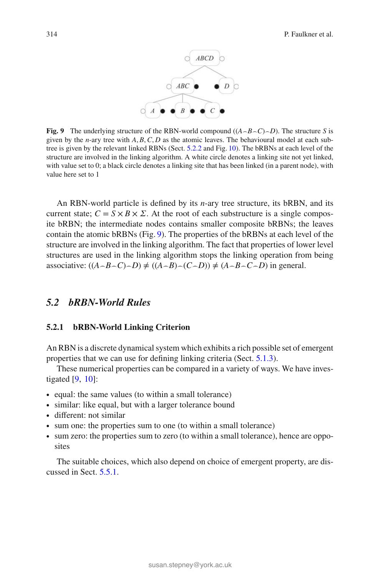

<span id="page-27-0"></span>**Fig. 9** The underlying structure of the RBN-world compound  $((A \neg B \neg C) \neg D)$ . The structure *S* is given by the *n*-ary tree with  $A, B, C, D$  as the atomic leaves. The behavioural model at each subtree is given by the relevant linked RBNs (Sect. [5.2.2](#page-28-1) and Fig. [10\)](#page-28-0). The bRBNs at each level of the structure are involved in the linking algorithm. A white circle denotes a linking site not yet linked, with value set to 0; a black circle denotes a linking site that has been linked (in a parent node), with value here set to 1

An RBN-world particle is defined by its *n*-ary tree structure, its bRBN, and its current state;  $C = S \times B \times \Sigma$ . At the root of each substructure is a single composite bRBN; the intermediate nodes contains smaller composite bRBNs; the leaves contain the atomic bRBNs (Fig. [9\)](#page-27-0). The properties of the bRBNs at each level of the structure are involved in the linking algorithm. The fact that properties of lower level structures are used in the linking algorithm stops the linking operation from being associative:  $((A \neg B \neg C) \neg D) \neq ((A \neg B) \neg (C \neg D)) \neq (A \neg B \neg C \neg D)$  in general.

# <span id="page-27-1"></span>*5.2 bRBN-World Rules*

#### **5.2.1 bRBN-World Linking Criterion**

An RBN is a discrete dynamical system which exhibits a rich possible set of emergent properties that we can use for defining linking criteria (Sect. [5.1.3\)](#page-25-0).

These numerical properties can be compared in a variety of ways. We have investigated  $[9, 10]$  $[9, 10]$  $[9, 10]$  $[9, 10]$ :

- ∙ equal: the same values (to within a small tolerance)
- ∙ similar: like equal, but with a larger tolerance bound
- ∙ different: not similar
- ∙ sum one: the properties sum to one (to within a small tolerance)
- ∙ sum zero: the properties sum to zero (to within a small tolerance), hence are opposites

The suitable choices, which also depend on choice of emergent property, are discussed in Sect. [5.5.1.](#page-32-0)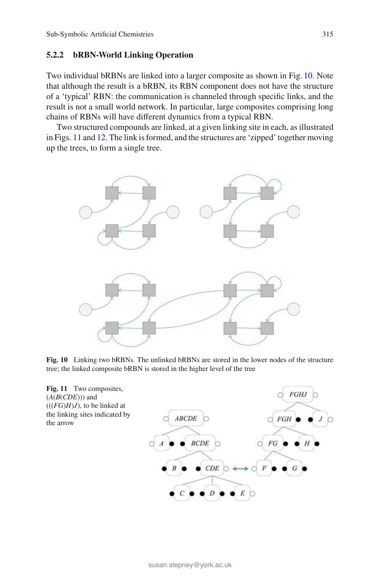### <span id="page-28-1"></span>**5.2.2 bRBN-World Linking Operation**

Two individual bRBNs are linked into a larger composite as shown in Fig. [10.](#page-28-0) Note that although the result is a bRBN, its RBN component does not have the structure of a 'typical' RBN: the communication is channeled through specific links, and the result is not a small world network. In particular, large composites comprising long chains of RBNs will have different dynamics from a typical RBN.

Two structured compounds are linked, at a given linking site in each, as illustrated in Figs. [11](#page-28-2) and [12.](#page-29-0) The link is formed, and the structures are 'zipped' together moving up the trees, to form a single tree.



**Fig. 10** Linking two bRBNs. The unlinked bRBNs are stored in the lower nodes of the structure tree; the linked composite bRBN is stored in the higher level of the tree

<span id="page-28-2"></span><span id="page-28-0"></span>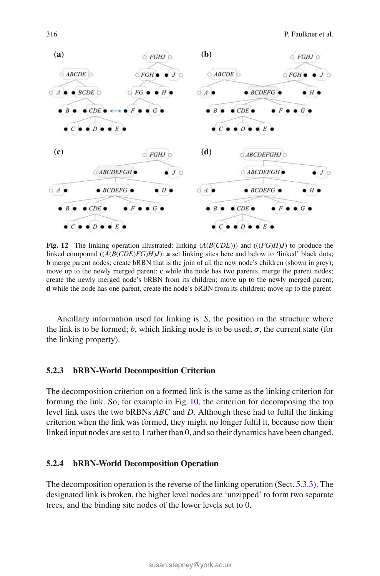

<span id="page-29-0"></span>**Fig. 12** The linking operation illustrated: linking (*A*(*B*(*CDE*))) and (((*FG*)*H*)*J*) to produce the linked compound  $((A(B(CDE)FG)H)J)$ : **a** set linking sites here and below to 'linked' black dots; **b** merge parent nodes; create bRBN that is the join of all the new node's children (shown in grey); move up to the newly merged parent; **c** while the node has two parents, merge the parent nodes; create the newly merged node's bRBN from its children; move up to the newly merged parent; **d** while the node has one parent, create the node's bRBN from its children; move up to the parent

Ancillary information used for linking is: *S*, the position in the structure where the link is to be formed; *b*, which linking node is to be used;  $\sigma$ , the current state (for the linking property).

#### **5.2.3 bRBN-World Decomposition Criterion**

The decomposition criterion on a formed link is the same as the linking criterion for forming the link. So, for example in Fig. [10,](#page-28-0) the criterion for decomposing the top level link uses the two bRBNs *ABC* and *D*. Although these had to fulfil the linking criterion when the link was formed, they might no longer fulfil it, because now their linked input nodes are set to 1 rather than 0, and so their dynamics have been changed.

### **5.2.4 bRBN-World Decomposition Operation**

The decomposition operation is the reverse of the linking operation (Sect. [5.3.3\)](#page-31-0). The designated link is broken, the higher level nodes are 'unzipped' to form two separate trees, and the binding site nodes of the lower levels set to 0.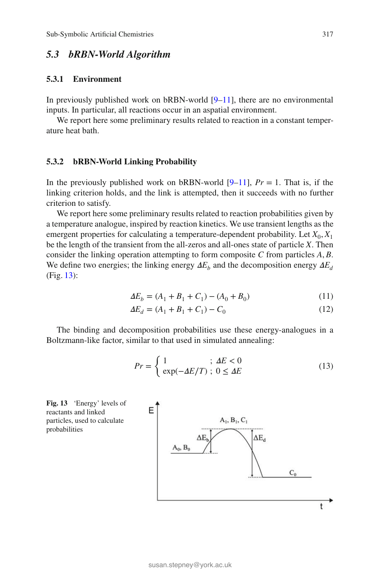# *5.3 bRBN-World Algorithm*

### **5.3.1 Environment**

In previously published work on bRBN-world [\[9](#page-35-2)[–11\]](#page-35-3), there are no environmental inputs. In particular, all reactions occur in an aspatial environment.

We report here some preliminary results related to reaction in a constant temperature heat bath.

#### <span id="page-30-2"></span>**5.3.2 bRBN-World Linking Probability**

In the previously published work on bRBN-world  $[9-11]$  $[9-11]$ ,  $Pr = 1$ . That is, if the linking criterion holds, and the link is attempted, then it succeeds with no further criterion to satisfy.

We report here some preliminary results related to reaction probabilities given by a temperature analogue, inspired by reaction kinetics. We use transient lengths as the emergent properties for calculating a temperature-dependent probability. Let  $X_0, X_1$ be the length of the transient from the all-zeros and all-ones state of particle *X*. Then consider the linking operation attempting to form composite *C* from particles *A, B*. We define two energies; the linking energy  $\Delta E_b$  and the decomposition energy  $\Delta E_d$ (Fig. [13\)](#page-30-0):

$$
\Delta E_b = (A_1 + B_1 + C_1) - (A_0 + B_0) \tag{11}
$$

$$
\Delta E_d = (A_1 + B_1 + C_1) - C_0 \tag{12}
$$

<span id="page-30-1"></span>The binding and decomposition probabilities use these energy-analogues in a Boltzmann-like factor, similar to that used in simulated annealing:

$$
Pr = \begin{cases} 1 & \text{if } \Delta E < 0 \\ \exp(-\Delta E/T) & \text{if } 0 \le \Delta E \end{cases} \tag{13}
$$

<span id="page-30-0"></span>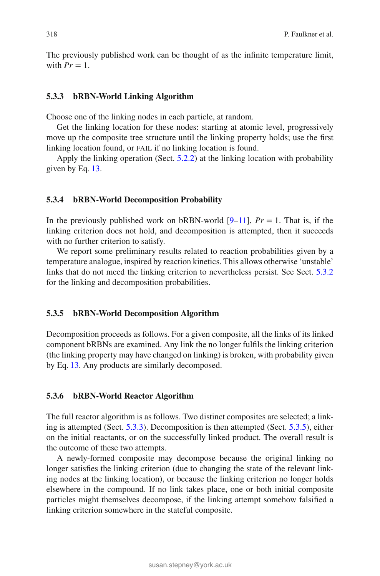The previously published work can be thought of as the infinite temperature limit, with  $Pr = 1$ .

#### <span id="page-31-0"></span>**5.3.3 bRBN-World Linking Algorithm**

Choose one of the linking nodes in each particle, at random.

Get the linking location for these nodes: starting at atomic level, progressively move up the composite tree structure until the linking property holds; use the first linking location found, or FAIL if no linking location is found.

Apply the linking operation (Sect. [5.2.2\)](#page-28-1) at the linking location with probability given by Eq. [13.](#page-30-1)

#### **5.3.4 bRBN-World Decomposition Probability**

In the previously published work on bRBN-world  $[9-11]$  $[9-11]$ ,  $Pr = 1$ . That is, if the linking criterion does not hold, and decomposition is attempted, then it succeeds with no further criterion to satisfy.

We report some preliminary results related to reaction probabilities given by a temperature analogue, inspired by reaction kinetics. This allows otherwise 'unstable' links that do not meed the linking criterion to nevertheless persist. See Sect. [5.3.2](#page-30-2) for the linking and decomposition probabilities.

#### <span id="page-31-1"></span>**5.3.5 bRBN-World Decomposition Algorithm**

Decomposition proceeds as follows. For a given composite, all the links of its linked component bRBNs are examined. Any link the no longer fulfils the linking criterion (the linking property may have changed on linking) is broken, with probability given by Eq. [13.](#page-30-1) Any products are similarly decomposed.

#### **5.3.6 bRBN-World Reactor Algorithm**

The full reactor algorithm is as follows. Two distinct composites are selected; a linking is attempted (Sect. [5.3.3\)](#page-31-0). Decomposition is then attempted (Sect. [5.3.5\)](#page-31-1), either on the initial reactants, or on the successfully linked product. The overall result is the outcome of these two attempts.

A newly-formed composite may decompose because the original linking no longer satisfies the linking criterion (due to changing the state of the relevant linking nodes at the linking location), or because the linking criterion no longer holds elsewhere in the compound. If no link takes place, one or both initial composite particles might themselves decompose, if the linking attempt somehow falsified a linking criterion somewhere in the stateful composite.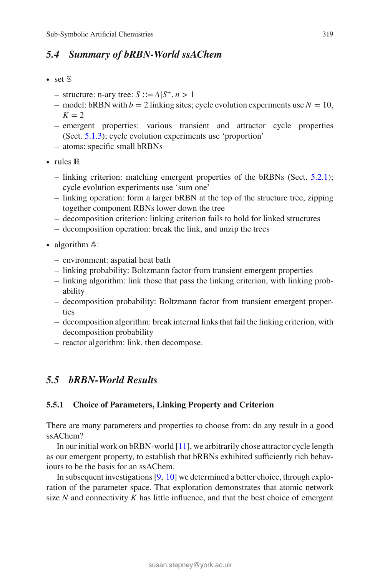# *5.4 Summary of bRBN-World ssAChem*

- ∙ set 𝕊
	- structure: n-ary tree: *S* ∶∶=*A*|*S*<sup>+</sup>*, n >* 1
	- model: bRBN with  $b = 2$  linking sites; cycle evolution experiments use  $N = 10$ ,  $K = 2$
	- emergent properties: various transient and attractor cycle properties (Sect. [5.1.3\)](#page-25-0); cycle evolution experiments use 'proportion'
	- atoms: specific small bRBNs
- ∙ rules ℝ
	- linking criterion: matching emergent properties of the bRBNs (Sect. [5.2.1\)](#page-27-1); cycle evolution experiments use 'sum one'
	- linking operation: form a larger bRBN at the top of the structure tree, zipping together component RBNs lower down the tree
	- decomposition criterion: linking criterion fails to hold for linked structures
	- decomposition operation: break the link, and unzip the trees
- algorithm A:
	- environment: aspatial heat bath
	- linking probability: Boltzmann factor from transient emergent properties
	- linking algorithm: link those that pass the linking criterion, with linking probability
	- decomposition probability: Boltzmann factor from transient emergent properties
	- decomposition algorithm: break internal links that fail the linking criterion, with decomposition probability
	- reactor algorithm: link, then decompose.

# *5.5 bRBN-World Results*

# <span id="page-32-0"></span>**5.5.1 Choice of Parameters, Linking Property and Criterion**

There are many parameters and properties to choose from: do any result in a good ssAChem?

In our initial work on bRBN-world [\[11](#page-35-3)], we arbitrarily chose attractor cycle length as our emergent property, to establish that bRBNs exhibited sufficiently rich behaviours to be the basis for an ssAChem.

In subsequent investigations [\[9](#page-35-2), [10](#page-35-1)] we determined a better choice, through exploration of the parameter space. That exploration demonstrates that atomic network size  $N$  and connectivity  $K$  has little influence, and that the best choice of emergent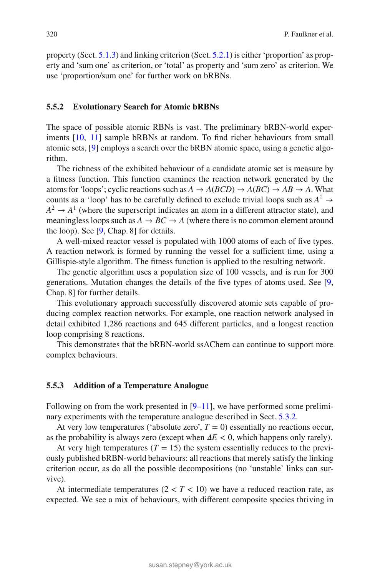property (Sect. [5.1.3\)](#page-25-0) and linking criterion (Sect. [5.2.1\)](#page-27-1) is either 'proportion' as property and 'sum one' as criterion, or 'total' as property and 'sum zero' as criterion. We use 'proportion/sum one' for further work on bRBNs.

#### <span id="page-33-0"></span>**5.5.2 Evolutionary Search for Atomic bRBNs**

The space of possible atomic RBNs is vast. The preliminary bRBN-world experiments [\[10](#page-35-1), [11](#page-35-3)] sample bRBNs at random. To find richer behaviours from small atomic sets, [\[9\]](#page-35-2) employs a search over the bRBN atomic space, using a genetic algorithm.

The richness of the exhibited behaviour of a candidate atomic set is measure by a fitness function. This function examines the reaction network generated by the atoms for 'loops'; cyclic reactions such as  $A \to A(BCD) \to A(BC) \to AB \to A$ . What counts as a 'loop' has to be carefully defined to exclude trivial loops such as  $A^1 \rightarrow$  $A^2 \rightarrow A^1$  (where the superscript indicates an atom in a different attractor state), and meaningless loops such as  $A \rightarrow BC \rightarrow A$  (where there is no common element around the loop). See [\[9,](#page-35-2) Chap. 8] for details.

A well-mixed reactor vessel is populated with 1000 atoms of each of five types. A reaction network is formed by running the vessel for a sufficient time, using a Gillispie-style algorithm. The fitness function is applied to the resulting network.

The genetic algorithm uses a population size of 100 vessels, and is run for 300 generations. Mutation changes the details of the five types of atoms used. See [\[9,](#page-35-2) Chap. 8] for further details.

This evolutionary approach successfully discovered atomic sets capable of producing complex reaction networks. For example, one reaction network analysed in detail exhibited 1,286 reactions and 645 different particles, and a longest reaction loop comprising 8 reactions.

This demonstrates that the bRBN-world ssAChem can continue to support more complex behaviours.

#### **5.5.3 Addition of a Temperature Analogue**

Following on from the work presented in  $[9-11]$  $[9-11]$ , we have performed some preliminary experiments with the temperature analogue described in Sect. [5.3.2.](#page-30-2)

At very low temperatures ('absolute zero',  $T = 0$ ) essentially no reactions occur, as the probability is always zero (except when  $\Delta E < 0$ , which happens only rarely).

At very high temperatures  $(T = 15)$  the system essentially reduces to the previously published bRBN-world behaviours: all reactions that merely satisfy the linking criterion occur, as do all the possible decompositions (no 'unstable' links can survive).

At intermediate temperatures  $(2 < T < 10)$  we have a reduced reaction rate, as expected. We see a mix of behaviours, with different composite species thriving in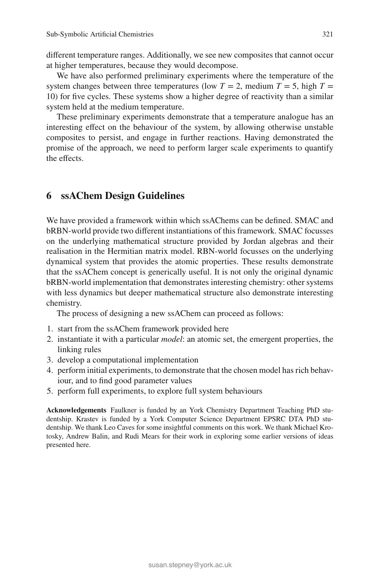different temperature ranges. Additionally, we see new composites that cannot occur at higher temperatures, because they would decompose.

We have also performed preliminary experiments where the temperature of the system changes between three temperatures (low  $T = 2$ , medium  $T = 5$ , high  $T =$ 10) for five cycles. These systems show a higher degree of reactivity than a similar system held at the medium temperature.

These preliminary experiments demonstrate that a temperature analogue has an interesting effect on the behaviour of the system, by allowing otherwise unstable composites to persist, and engage in further reactions. Having demonstrated the promise of the approach, we need to perform larger scale experiments to quantify the effects.

# <span id="page-34-0"></span>**6 ssAChem Design Guidelines**

We have provided a framework within which ssAChems can be defined. SMAC and bRBN-world provide two different instantiations of this framework. SMAC focusses on the underlying mathematical structure provided by Jordan algebras and their realisation in the Hermitian matrix model. RBN-world focusses on the underlying dynamical system that provides the atomic properties. These results demonstrate that the ssAChem concept is generically useful. It is not only the original dynamic bRBN-world implementation that demonstrates interesting chemistry: other systems with less dynamics but deeper mathematical structure also demonstrate interesting chemistry.

The process of designing a new ssAChem can proceed as follows:

- 1. start from the ssAChem framework provided here
- 2. instantiate it with a particular *model*: an atomic set, the emergent properties, the linking rules
- 3. develop a computational implementation
- 4. perform initial experiments, to demonstrate that the chosen model has rich behaviour, and to find good parameter values
- 5. perform full experiments, to explore full system behaviours

**Acknowledgements** Faulkner is funded by an York Chemistry Department Teaching PhD studentship. Krastev is funded by a York Computer Science Department EPSRC DTA PhD studentship. We thank Leo Caves for some insightful comments on this work. We thank Michael Krotosky, Andrew Balin, and Rudi Mears for their work in exploring some earlier versions of ideas presented here.